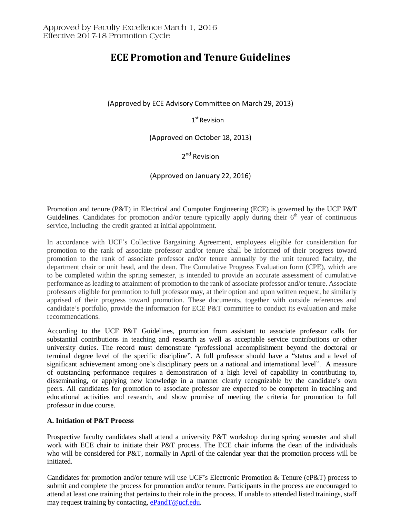# **ECE Promotion and Tenure Guidelines**

(Approved by ECE Advisory Committee on March 29, 2013)

1<sup>st</sup> Revision

(Approved on October 18, 2013)

2<sup>nd</sup> Revision

(Approved on January 22, 2016)

Promotion and tenure (P&T) in Electrical and Computer Engineering (ECE) is governed by the UCF P&T Guidelines. Candidates for promotion and/or tenure typically apply during their  $6<sup>th</sup>$  year of continuous service, including the credit granted at initial appointment.

In accordance with UCF's Collective Bargaining Agreement, employees eligible for consideration for promotion to the rank of associate professor and/or tenure shall be informed of their progress toward promotion to the rank of associate professor and/or tenure annually by the unit tenured faculty, the department chair or unit head, and the dean. The Cumulative Progress Evaluation form (CPE), which are to be completed within the spring semester, is intended to provide an accurate assessment of cumulative performance as leading to attainment of promotion to the rank of associate professor and/or tenure. Associate professors eligible for promotion to full professor may, at their option and upon written request, be similarly apprised of their progress toward promotion. These documents, together with outside references and candidate's portfolio, provide the information for ECE P&T committee to conduct its evaluation and make recommendations.

According to the UCF P&T Guidelines, promotion from assistant to associate professor calls for substantial contributions in teaching and research as well as acceptable service contributions or other university duties. The record must demonstrate "professional accomplishment beyond the doctoral or terminal degree level of the specific discipline". A full professor should have a "status and a level of significant achievement among one's disciplinary peers on a national and international level". A measure of outstanding performance requires a demonstration of a high level of capability in contributing to, disseminating, or applying new knowledge in a manner clearly recognizable by the candidate's own peers. All candidates for promotion to associate professor are expected to be competent in teaching and educational activities and research, and show promise of meeting the criteria for promotion to full professor in due course.

## **A. Initiation of P&T Process**

Prospective faculty candidates shall attend a university P&T workshop during spring semester and shall work with ECE chair to initiate their P&T process. The ECE chair informs the dean of the individuals who will be considered for P&T, normally in April of the calendar year that the promotion process will be initiated.

Candidates for promotion and/or tenure will use UCF's Electronic Promotion & Tenure (eP&T) process to submit and complete the process for promotion and/or tenure. Participants in the process are encouraged to attend at least one training that pertains to their role in the process. If unable to attended listed trainings, staff may request training by contacting, [ePandT@ucf.edu.](mailto:ePandT@ucf.edu)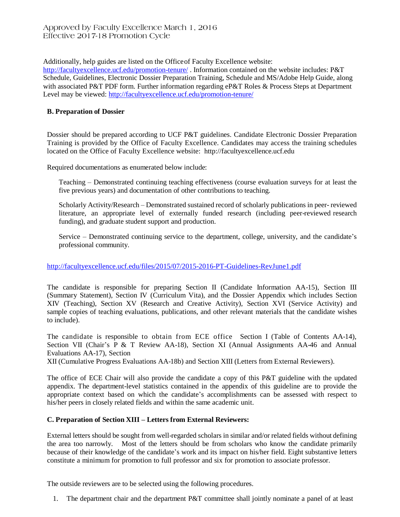## Approved by Faculty Excellence March 1, 2016 Effective 2017-18 Promotion Cycle

Additionally, help guides are listed on the Officeof Faculty Excellence website:

<http://facultyexcellence.ucf.edu/promotion-tenure/> . Information contained on the website includes: P&T Schedule, Guidelines, Electronic Dossier Preparation Training, Schedule and MS/Adobe Help Guide, along with associated P&T PDF form. Further information regarding eP&T Roles & Process Steps at Department Level may be viewed:<http://facultyexcellence.ucf.edu/promotion-tenure/>

#### **B. Preparation of Dossier**

Dossier should be prepared according to UCF P&T guidelines. Candidate Electronic Dossier Preparation Training is provided by the Office of Faculty Excellence. Candidates may access the training schedules located on the Office of Faculty Excellence website: [http://facultyexcellence.ucf.edu](http://facultyexcellence.ucf.edu/)

Required documentations as enumerated below include:

Teaching – Demonstrated continuing teaching effectiveness (course evaluation surveys for at least the five previous years) and documentation of other contributions to teaching.

Scholarly Activity/Research – Demonstrated sustained record of scholarly publications in peer- reviewed literature, an appropriate level of externally funded research (including peer-reviewed research funding), and graduate student support and production.

Service – Demonstrated continuing service to the department, college, university, and the candidate's professional community.

#### <http://facultyexcellence.ucf.edu/files/2015/07/2015-2016-PT-Guidelines-RevJune1.pdf>

The candidate is responsible for preparing Section II (Candidate Information AA-15), Section III (Summary Statement), Section IV (Curriculum Vita), and the Dossier Appendix which includes Section XIV (Teaching), Section XV (Research and Creative Activity), Section XVI (Service Activity) and sample copies of teaching evaluations, publications, and other relevant materials that the candidate wishes to include).

The candidate is responsible to obtain from ECE office Section I (Table of Contents AA-14), Section VII (Chair's P & T Review AA-18), Section XI (Annual Assignments AA-46 and Annual Evaluations AA-17), Section

XII (Cumulative Progress Evaluations AA-18b) and Section XIII (Letters from External Reviewers).

The office of ECE Chair will also provide the candidate a copy of this P&T guideline with the updated appendix. The department-level statistics contained in the appendix of this guideline are to provide the appropriate context based on which the candidate's accomplishments can be assessed with respect to his/her peers in closely related fields and within the same academic unit.

#### **C. Preparation of Section XIII – Letters from External Reviewers:**

External letters should be sought from well-regarded scholars in similar and/or related fields without defining the area too narrowly. Most of the letters should be from scholars who know the candidate primarily because of their knowledge of the candidate's work and its impact on his/her field. Eight substantive letters constitute a minimum for promotion to full professor and six for promotion to associate professor.

The outside reviewers are to be selected using the following procedures.

1. The department chair and the department P&T committee shall jointly nominate a panel of at least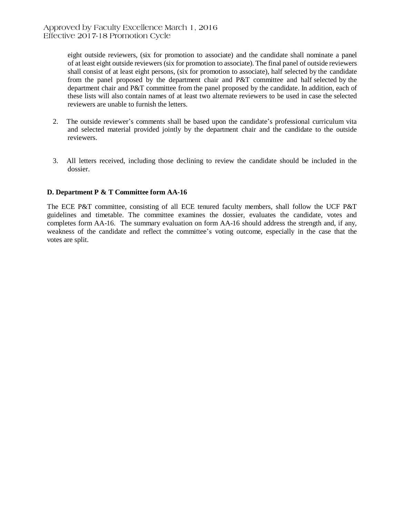eight outside reviewers, (six for promotion to associate) and the candidate shall nominate a panel of at least eight outside reviewers (six for promotion to associate). The final panel of outside reviewers shall consist of at least eight persons, (six for promotion to associate), half selected by the candidate from the panel proposed by the department chair and P&T committee and half selected by the department chair and P&T committee from the panel proposed by the candidate. In addition, each of these lists will also contain names of at least two alternate reviewers to be used in case the selected reviewers are unable to furnish the letters.

- 2. The outside reviewer's comments shall be based upon the candidate's professional curriculum vita and selected material provided jointly by the department chair and the candidate to the outside reviewers.
- 3. All letters received, including those declining to review the candidate should be included in the dossier.

## **D. Department P & T Committee form AA-16**

The ECE P&T committee, consisting of all ECE tenured faculty members, shall follow the UCF P&T guidelines and timetable. The committee examines the dossier, evaluates the candidate, votes and completes form AA-16. The summary evaluation on form AA-16 should address the strength and, if any, weakness of the candidate and reflect the committee's voting outcome, especially in the case that the votes are split.